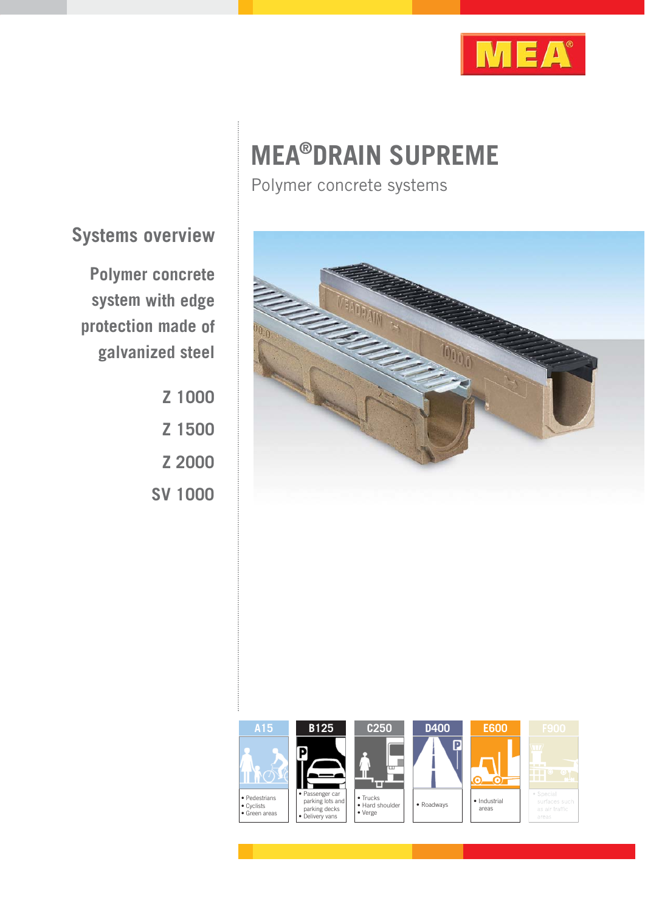

# **MEA®DRAIN SUPREME**

Polymer concrete systems



**Systems overview**

**Polymer concrete system with edge protection made of galvanized steel**

> **Z 1000 Z 1500 Z 2000 SV 1000**